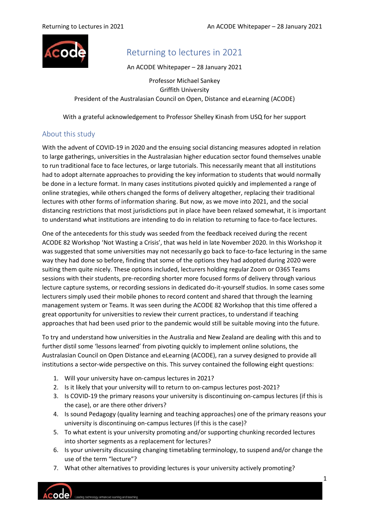

# Returning to lectures in 2021

An ACODE Whitepaper – 28 January 2021

Professor Michael Sankey Griffith University President of the Australasian Council on Open, Distance and eLearning (ACODE)

With a grateful acknowledgement to Professor Shelley Kinash from USQ for her support

# About this study

With the advent of COVID-19 in 2020 and the ensuing social distancing measures adopted in relation to large gatherings, universities in the Australasian higher education sector found themselves unable to run traditional face to face lectures, or large tutorials. This necessarily meant that all institutions had to adopt alternate approaches to providing the key information to students that would normally be done in a lecture format. In many cases institutions pivoted quickly and implemented a range of online strategies, while others changed the forms of delivery altogether, replacing their traditional lectures with other forms of information sharing. But now, as we move into 2021, and the social distancing restrictions that most jurisdictions put in place have been relaxed somewhat, it is important to understand what institutions are intending to do in relation to returning to face-to-face lectures.

One of the antecedents for this study was seeded from the feedback received during the recent ACODE 82 Workshop 'Not Wasting a Crisis', that was held in late November 2020. In this Workshop it was suggested that some universities may not necessarily go back to face-to-face lecturing in the same way they had done so before, finding that some of the options they had adopted during 2020 were suiting them quite nicely. These options included, lecturers holding regular Zoom or O365 Teams sessions with their students, pre-recording shorter more focused forms of delivery through various lecture capture systems, or recording sessions in dedicated do-it-yourself studios. In some cases some lecturers simply used their mobile phones to record content and shared that through the learning management system or Teams. It was seen during the ACODE 82 Workshop that this time offered a great opportunity for universities to review their current practices, to understand if teaching approaches that had been used prior to the pandemic would still be suitable moving into the future.

To try and understand how universities in the Australia and New Zealand are dealing with this and to further distil some 'lessons learned' from pivoting quickly to implement online solutions, the Australasian Council on Open Distance and eLearning (ACODE), ran a survey designed to provide all institutions a sector-wide perspective on this. This survey contained the following eight questions:

- 1. Will your university have on-campus lectures in 2021?
- 2. Is it likely that your university will to return to on-campus lectures post-2021?
- 3. Is COVID-19 the primary reasons your university is discontinuing on-campus lectures (if this is the case), or are there other drivers?
- 4. Is sound Pedagogy (quality learning and teaching approaches) one of the primary reasons your university is discontinuing on-campus lectures (if this is the case)?
- 5. To what extent is your university promoting and/or supporting chunking recorded lectures into shorter segments as a replacement for lectures?
- 6. Is your university discussing changing timetabling terminology, to suspend and/or change the use of the term "lecture"?
- 7. What other alternatives to providing lectures is your university actively promoting?

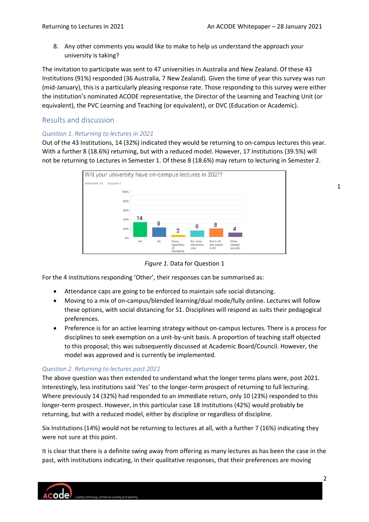8. Any other comments you would like to make to help us understand the approach your university is taking?

The invitation to participate was sent to 47 universities in Australia and New Zealand. Of these 43 Institutions (91%) responded (36 Australia, 7 New Zealand). Given the time of year this survey was run (mid-January), this is a particularly pleasing response rate. Those responding to this survey were either the institution's nominated ACODE representative, the Director of the Learning and Teaching Unit (or equivalent), the PVC Learning and Teaching (or equivalent), or DVC (Education or Academic).

## Results and discussion

#### *Question 1. Returning to lectures in 2021*

Out of the 43 Institutions, 14 (32%) indicated they would be returning to on-campus lectures this year. With a further 8 (18.6%) returning, but with a reduced model. However, 17 Institutions (39.5%) will not be returning to Lectures in Semester 1. Of these 8 (18.6%) may return to lecturing in Semester 2.



*Figure 1.* Data for Question 1

For the 4 institutions responding 'Other', their responses can be summarised as:

- Attendance caps are going to be enforced to maintain safe social distancing.
- Moving to a mix of on-campus/blended learning/dual mode/fully online. Lectures will follow these options, with social distancing for S1. Disciplines will respond as suits their pedagogical preferences.
- Preference is for an active learning strategy without on-campus lectures. There is a process for disciplines to seek exemption on a unit-by-unit basis. A proportion of teaching staff objected to this proposal; this was subsequently discussed at Academic Board/Council. However, the model was approved and is currently be implemented.

#### *Question 2. Returning to lectures post 2021*

The above question was then extended to understand what the longer terms plans were, post 2021. Interestingly, less institutions said 'Yes' to the longer-term prospect of returning to full lecturing. Where previously 14 (32%) had responded to an immediate return, only 10 (23%) responded to this longer-term prospect. However, in this particular case 18 institutions (42%) would probably be returning, but with a reduced model, either by discipline or regardless of discipline.

Six Institutions (14%) would not be returning to lectures at all, with a further 7 (16%) indicating they were not sure at this point.

It is clear that there is a definite swing away from offering as many lectures as has been the case in the past, with institutions indicating, in their qualitative responses, that their preferences are moving



1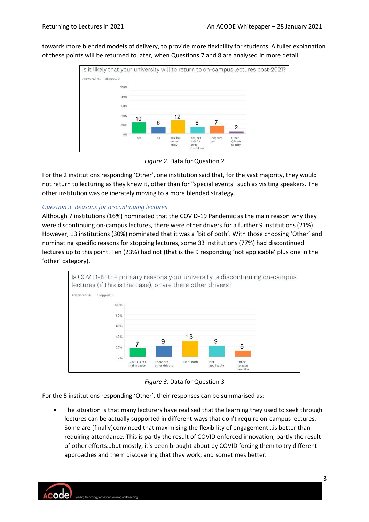towards more blended models of delivery, to provide more flexibility for students. A fuller explanation of these points will be returned to later, when Questions 7 and 8 are analysed in more detail.



*Figure 2.* Data for Question 2

For the 2 institutions responding 'Other', one institution said that, for the vast majority, they would not return to lecturing as they knew it, other than for "special events" such as visiting speakers. The other institution was deliberately moving to a more blended strategy.

## *Question 3. Reasons for discontinuing lectures*

Although 7 institutions (16%) nominated that the COVID-19 Pandemic as the main reason why they were discontinuing on-campus lectures, there were other drivers for a further 9 institutions (21%). However, 13 institutions (30%) nominated that it was a 'bit of both'. With those choosing 'Other' and nominating specific reasons for stopping lectures, some 33 institutions (77%) had discontinued lectures up to this point. Ten (23%) had not (that is the 9 responding 'not applicable' plus one in the 'other' category).



*Figure 3.* Data for Question 3

For the 5 institutions responding 'Other', their responses can be summarised as:

The situation is that many lecturers have realised that the learning they used to seek through lectures can be actually supported in different ways that don't require on-campus lectures. Some are [finally]convinced that maximising the flexibility of engagement…is better than requiring attendance. This is partly the result of COVID enforced innovation, partly the result of other efforts…but mostly, it's been brought about by COVID forcing them to try different approaches and them discovering that they work, and sometimes better.

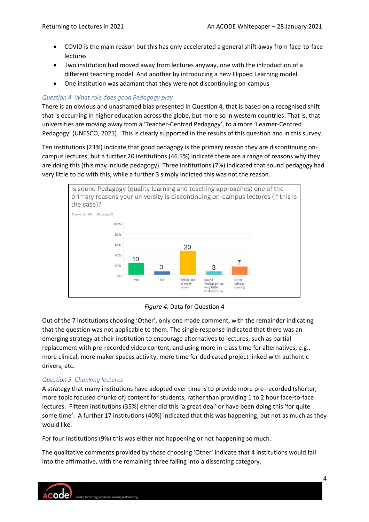- COVID is the main reason but this has only accelerated a general shift away from face-to-face lectures
- Two institution had moved away from lectures anyway, one with the introduction of a different teaching model. And another by introducing a new Flipped Learning model.
- One institution was adamant that they were not discontinuing on-campus.

## *Question 4. What role does good Pedagogy play*

There is an obvious and unashamed bias presented in Question 4, that is based on a recognised shift that is occurring in higher education across the globe, but more so in western countries. That is, that universities are moving away from a 'Teacher-Centred Pedagogy', to a more 'Learner-Centred Pedagogy' (UNESCO, 2021). This is clearly supported in the results of this question and in this survey.

Ten institutions (23%) indicate that good pedagogy is the primary reason they are discontinuing oncampus lectures, but a further 20 institutions (46.5%) indicate there are a range of reasons why they are doing this (this may include pedagogy). Three institutions (7%) indicated that sound pedagogy had very little to do with this, while a further 3 simply indicted this was not the reason.



*Figure 4*. Data for Question 4

Out of the 7 institutions choosing 'Other', only one made comment, with the remainder indicating that the question was not applicable to them. The single response indicated that there was an emerging strategy at their institution to encourage alternatives to lectures, such as partial replacement with pre-recorded video content, and using more in-class time for alternatives, e.g., more clinical, more maker spaces activity, more time for dedicated project linked with authentic drivers, etc.

# *Question 5. Chunking lectures*

A strategy that many institutions have adopted over time is to provide more pre-recorded (shorter, more topic focused chunks of) content for students, rather than providing 1 to 2 hour face-to-face lectures. Fifteen institutions (35%) either did this 'a great deal' or have been doing this 'for quite some time'. A further 17 institutions (40%) indicated that this was happening, but not as much as they would like.

For four Institutions (9%) this was either not happening or not happening so much.

The qualitative comments provided by those choosing 'Other' indicate that 4 institutions would fall into the affirmative, with the remaining three falling into a dissenting category.

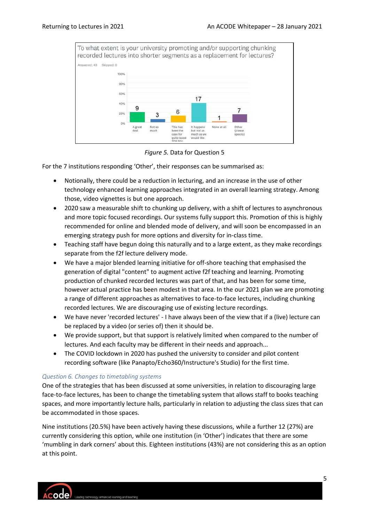

*Figure 5.* Data for Question 5

For the 7 institutions responding 'Other', their responses can be summarised as:

- Notionally, there could be a reduction in lecturing, and an increase in the use of other technology enhanced learning approaches integrated in an overall learning strategy. Among those, video vignettes is but one approach.
- 2020 saw a measurable shift to chunking up delivery, with a shift of lectures to asynchronous and more topic focused recordings. Our systems fully support this. Promotion of this is highly recommended for online and blended mode of delivery, and will soon be encompassed in an emerging strategy push for more options and diversity for in-class time.
- Teaching staff have begun doing this naturally and to a large extent, as they make recordings separate from the f2f lecture delivery mode.
- We have a major blended learning initiative for off-shore teaching that emphasised the generation of digital "content" to augment active f2f teaching and learning. Promoting production of chunked recorded lectures was part of that, and has been for some time, however actual practice has been modest in that area. In the our 2021 plan we are promoting a range of different approaches as alternatives to face-to-face lectures, including chunking recorded lectures. We are discouraging use of existing lecture recordings.
- We have never 'recorded lectures' I have always been of the view that if a (live) lecture can be replaced by a video (or series of) then it should be.
- We provide support, but that support is relatively limited when compared to the number of lectures. And each faculty may be different in their needs and approach...
- The COVID lockdown in 2020 has pushed the university to consider and pilot content recording software (like Panapto/Echo360/Instructure's Studio) for the first time.

#### *Question 6. Changes to timetabling systems*

One of the strategies that has been discussed at some universities, in relation to discouraging large face-to-face lectures, has been to change the timetabling system that allows staff to books teaching spaces, and more importantly lecture halls, particularly in relation to adjusting the class sizes that can be accommodated in those spaces.

Nine institutions (20.5%) have been actively having these discussions, while a further 12 (27%) are currently considering this option, while one institution (in 'Other') indicates that there are some 'mumbling in dark corners' about this. Eighteen institutions (43%) are not considering this as an option at this point.

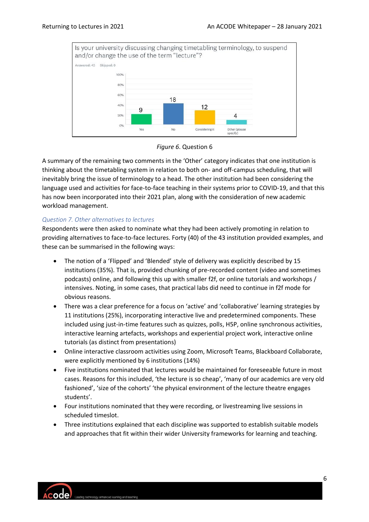



A summary of the remaining two comments in the 'Other' category indicates that one institution is thinking about the timetabling system in relation to both on- and off-campus scheduling, that will inevitably bring the issue of terminology to a head. The other institution had been considering the language used and activities for face-to-face teaching in their systems prior to COVID-19, and that this has now been incorporated into their 2021 plan, along with the consideration of new academic workload management.

#### *Question 7. Other alternatives to lectures*

Respondents were then asked to nominate what they had been actively promoting in relation to providing alternatives to face-to-face lectures. Forty (40) of the 43 institution provided examples, and these can be summarised in the following ways:

- The notion of a 'Flipped' and 'Blended' style of delivery was explicitly described by 15 institutions (35%). That is, provided chunking of pre-recorded content (video and sometimes podcasts) online, and following this up with smaller f2f, or online tutorials and workshops / intensives. Noting, in some cases, that practical labs did need to continue in f2f mode for obvious reasons.
- There was a clear preference for a focus on 'active' and 'collaborative' learning strategies by 11 institutions (25%), incorporating interactive live and predetermined components. These included using just-in-time features such as quizzes, polls, H5P, online synchronous activities, interactive learning artefacts, workshops and experiential project work, interactive online tutorials (as distinct from presentations)
- Online interactive classroom activities using Zoom, Microsoft Teams, Blackboard Collaborate, were explicitly mentioned by 6 institutions (14%)
- Five institutions nominated that lectures would be maintained for foreseeable future in most cases. Reasons for this included, 'the lecture is so cheap', 'many of our academics are very old fashioned', 'size of the cohorts' 'the physical environment of the lecture theatre engages students'.
- Four institutions nominated that they were recording, or livestreaming live sessions in scheduled timeslot.
- Three institutions explained that each discipline was supported to establish suitable models and approaches that fit within their wider University frameworks for learning and teaching.

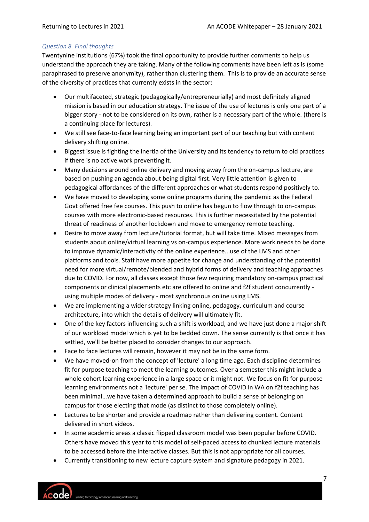#### *Question 8. Final thoughts*

Twentynine institutions (67%) took the final opportunity to provide further comments to help us understand the approach they are taking. Many of the following comments have been left as is (some paraphrased to preserve anonymity), rather than clustering them. This is to provide an accurate sense of the diversity of practices that currently exists in the sector:

- Our multifaceted, strategic (pedagogically/entrepreneurially) and most definitely aligned mission is based in our education strategy. The issue of the use of lectures is only one part of a bigger story - not to be considered on its own, rather is a necessary part of the whole. (there is a continuing place for lectures).
- We still see face-to-face learning being an important part of our teaching but with content delivery shifting online.
- Biggest issue is fighting the inertia of the University and its tendency to return to old practices if there is no active work preventing it.
- Many decisions around online delivery and moving away from the on-campus lecture, are based on pushing an agenda about being digital first. Very little attention is given to pedagogical affordances of the different approaches or what students respond positively to.
- We have moved to developing some online programs during the pandemic as the Federal Govt offered free fee courses. This push to online has begun to flow through to on-campus courses with more electronic-based resources. This is further necessitated by the potential threat of readiness of another lockdown and move to emergency remote teaching.
- Desire to move away from lecture/tutorial format, but will take time. Mixed messages from students about online/virtual learning vs on-campus experience. More work needs to be done to improve dynamic/interactivity of the online experience...use of the LMS and other platforms and tools. Staff have more appetite for change and understanding of the potential need for more virtual/remote/blended and hybrid forms of delivery and teaching approaches due to COVID. For now, all classes except those few requiring mandatory on-campus practical components or clinical placements etc are offered to online and f2f student concurrently using multiple modes of delivery - most synchronous online using LMS.
- We are implementing a wider strategy linking online, pedagogy, curriculum and course architecture, into which the details of delivery will ultimately fit.
- One of the key factors influencing such a shift is workload, and we have just done a major shift of our workload model which is yet to be bedded down. The sense currently is that once it has settled, we'll be better placed to consider changes to our approach.
- Face to face lectures will remain, however it may not be in the same form.
- We have moved-on from the concept of 'lecture' a long time ago. Each discipline determines fit for purpose teaching to meet the learning outcomes. Over a semester this might include a whole cohort learning experience in a large space or it might not. We focus on fit for purpose learning environments not a 'lecture' per se. The impact of COVID in WA on f2f teaching has been minimal…we have taken a determined approach to build a sense of belonging on campus for those electing that mode (as distinct to those completely online).
- Lectures to be shorter and provide a roadmap rather than delivering content. Content delivered in short videos.
- In some academic areas a classic flipped classroom model was been popular before COVID. Others have moved this year to this model of self-paced access to chunked lecture materials to be accessed before the interactive classes. But this is not appropriate for all courses.
- Currently transitioning to new lecture capture system and signature pedagogy in 2021.

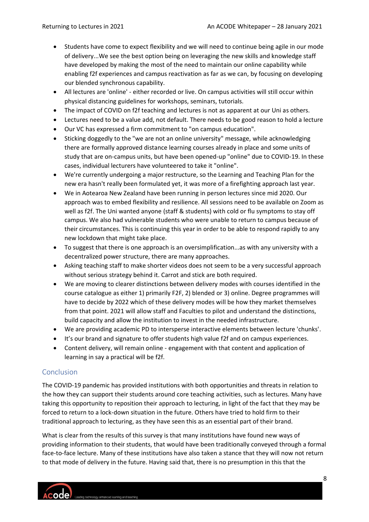- Students have come to expect flexibility and we will need to continue being agile in our mode of delivery...We see the best option being on leveraging the new skills and knowledge staff have developed by making the most of the need to maintain our online capability while enabling f2f experiences and campus reactivation as far as we can, by focusing on developing our blended synchronous capability.
- All lectures are 'online' either recorded or live. On campus activities will still occur within physical distancing guidelines for workshops, seminars, tutorials.
- The impact of COVID on f2f teaching and lectures is not as apparent at our Uni as others.
- Lectures need to be a value add, not default. There needs to be good reason to hold a lecture
- Our VC has expressed a firm commitment to "on campus education".
- Sticking doggedly to the "we are not an online university" message, while acknowledging there are formally approved distance learning courses already in place and some units of study that are on-campus units, but have been opened-up "online" due to COVID-19. In these cases, individual lecturers have volunteered to take it "online".
- We're currently undergoing a major restructure, so the Learning and Teaching Plan for the new era hasn't really been formulated yet, it was more of a firefighting approach last year.
- We in Aotearoa New Zealand have been running in person lectures since mid 2020. Our approach was to embed flexibility and resilience. All sessions need to be available on Zoom as well as f2f. The Uni wanted anyone (staff & students) with cold or flu symptoms to stay off campus. We also had vulnerable students who were unable to return to campus because of their circumstances. This is continuing this year in order to be able to respond rapidly to any new lockdown that might take place.
- To suggest that there is one approach is an oversimplification...as with any university with a decentralized power structure, there are many approaches.
- Asking teaching staff to make shorter videos does not seem to be a very successful approach without serious strategy behind it. Carrot and stick are both required.
- We are moving to clearer distinctions between delivery modes with courses identified in the course catalogue as either 1) primarily F2F, 2) blended or 3) online. Degree programmes will have to decide by 2022 which of these delivery modes will be how they market themselves from that point. 2021 will allow staff and Faculties to pilot and understand the distinctions, build capacity and allow the institution to invest in the needed infrastructure.
- We are providing academic PD to intersperse interactive elements between lecture 'chunks'.
- It's our brand and signature to offer students high value f2f and on campus experiences.
- Content delivery, will remain online engagement with that content and application of learning in say a practical will be f2f.

# Conclusion

The COVID-19 pandemic has provided institutions with both opportunities and threats in relation to the how they can support their students around core teaching activities, such as lectures. Many have taking this opportunity to reposition their approach to lecturing, in light of the fact that they may be forced to return to a lock-down situation in the future. Others have tried to hold firm to their traditional approach to lecturing, as they have seen this as an essential part of their brand.

What is clear from the results of this survey is that many institutions have found new ways of providing information to their students, that would have been traditionally conveyed through a formal face-to-face lecture. Many of these institutions have also taken a stance that they will now not return to that mode of delivery in the future. Having said that, there is no presumption in this that the